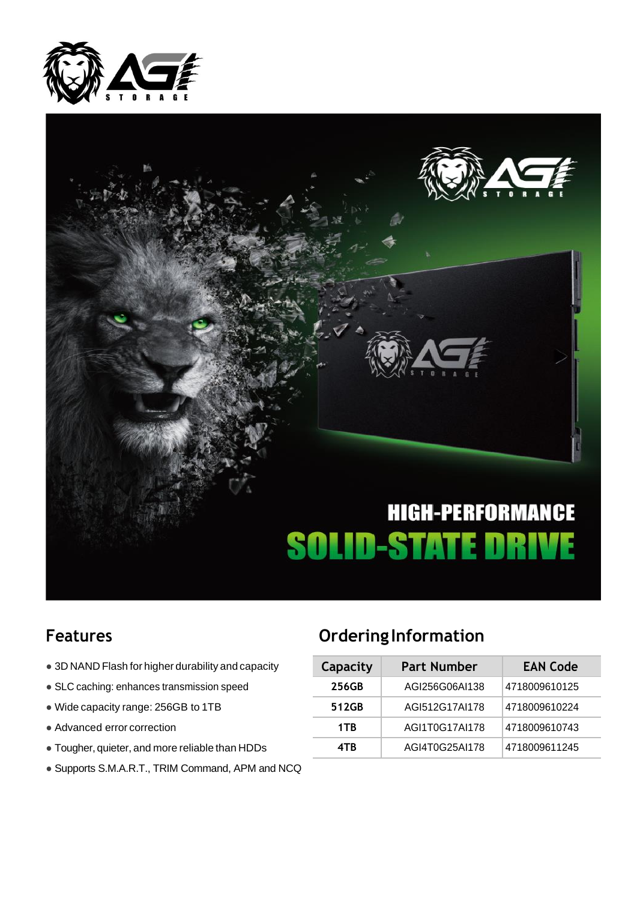



- $\bullet$  3D NAND Flash for higher durability and capacity
- **SLC caching: enhances transmission speed**
- $\bullet$  Wide capacity range: 256GB to 1TB
- $\bullet$  Advanced error correction
- $\bullet$  Tougher, quieter, and more reliable than HDDs
- Supports S.M.A.R.T., TRIM Command, APM and NCQ

### **Features Ordering Information**

| Capacity | <b>Part Number</b> | <b>EAN Code</b> |  |  |  |
|----------|--------------------|-----------------|--|--|--|
| 256GB    | AGI256G06AI138     | 4718009610125   |  |  |  |
| 512GB    | AGI512G17AI178     | 4718009610224   |  |  |  |
| 1TB      | AGI1T0G17AI178     | 4718009610743   |  |  |  |
| 4TR      | AGI4T0G25AI178     | 4718009611245   |  |  |  |